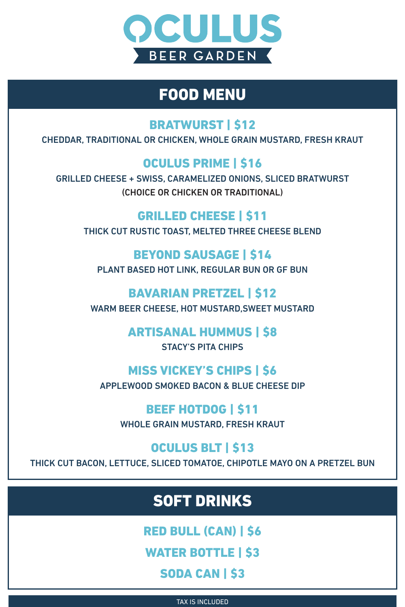CHEDDAR, TRADITIONAL OR CHICKEN, WHOLE GRAIN MUSTARD, FRESH KRAUT

### OCULUS PRIME | \$16

GRILLED CHEESE + SWISS, CARAMELIZED ONIONS, SLICED BRATWURST

(CHOICE OR CHICKEN OR TRADITIONAL)

#### GRILLED CHEESE | \$11

#### THICK CUT RUSTIC TOAST, MELTED THREE CHEESE BLEND

### BEYOND SAUSAGE | \$14

#### PLANT BASED HOT LINK, REGULAR BUN OR GF BUN

### BAVARIAN PRETZEL | \$12

RED BULL (CAN) | \$6 WATER BOTTLE | \$3 SODA CAN | \$3

#### WARM BEER CHEESE, HOT MUSTARD,SWEET MUSTARD

### ARTISANAL HUMMUS | \$8

#### STACY'S PITA CHIPS

### MISS VICKEY'S CHIPS | \$6

APPLEWOOD SMOKED BACON & BLUE CHEESE DIP



WHOLE GRAIN MUSTARD, FRESH KRAUT

### OCULUS BLT | \$13

THICK CUT BACON, LETTUCE, SLICED TOMATOE, CHIPOTLE MAYO ON A PRETZEL BUN

TAX IS INCLUDED



## FOOD MENU

### BRATWURST | \$12

## SOFT DRINKS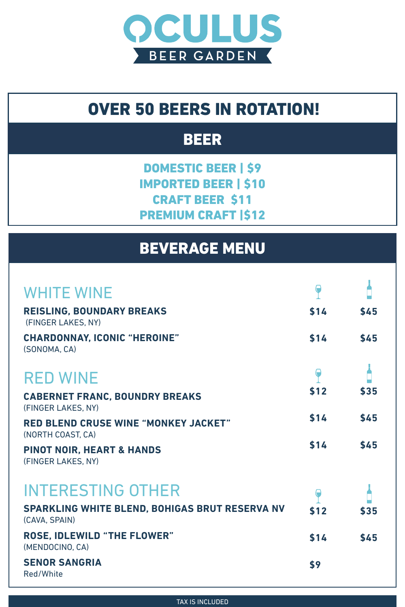## BEVERAGE MENU



#### **RED BLEND CRUSE WINE "MONKEY JACKET"** (NORTH COAST, CA)



#### **PINOT NOIR, HEART & HANDS** (FINGER LAKES, NY)

DOMESTIC BEER | \$9 IMPORTED BEER | \$10 CRAFT BEER \$11

#### PREMIUM CRAFT 1\$12



**\$14 \$45**

![](_page_1_Picture_0.jpeg)

## OVER 50 BEERS IN ROTATION!